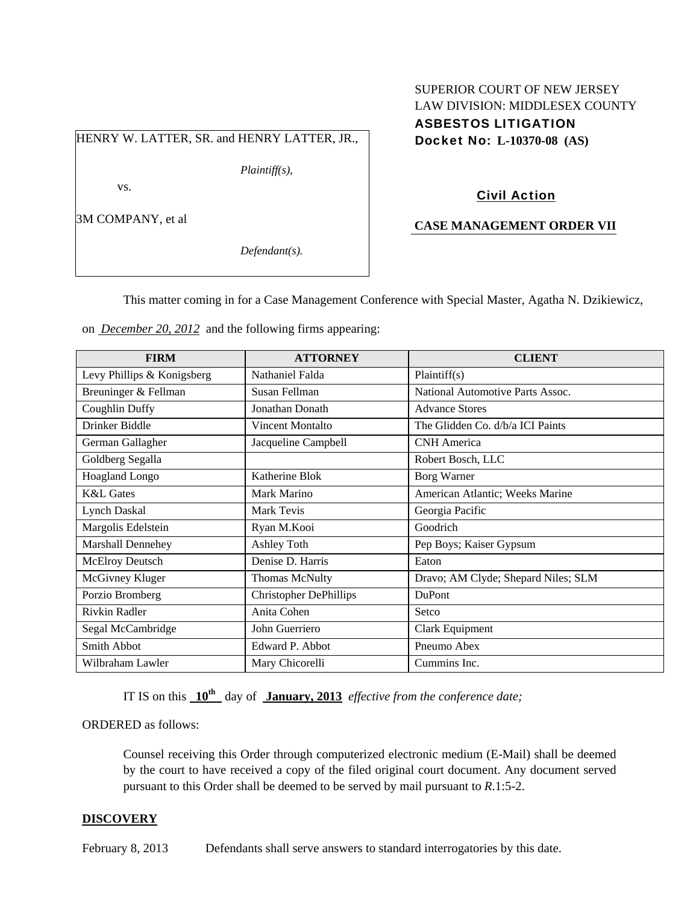# HENRY W. LATTER, SR. and HENRY LATTER, JR.,

*Plaintiff(s),* 

vs.

3M COMPANY, et al

*Defendant(s).* 

#### SUPERIOR COURT OF NEW JERSEY LAW DIVISION: MIDDLESEX COUNTY

ASBESTOS LITIGATION Docket No: **L-10370-08 (AS)** 

## Civil Action

#### **CASE MANAGEMENT ORDER VII**

This matter coming in for a Case Management Conference with Special Master, Agatha N. Dzikiewicz,

on *December 20, 2012* and the following firms appearing:

| <b>FIRM</b>                | <b>ATTORNEY</b>               | <b>CLIENT</b>                       |
|----------------------------|-------------------------------|-------------------------------------|
| Levy Phillips & Konigsberg | Nathaniel Falda               | Plaintiff(s)                        |
| Breuninger & Fellman       | Susan Fellman                 | National Automotive Parts Assoc.    |
| Coughlin Duffy             | Jonathan Donath               | <b>Advance Stores</b>               |
| Drinker Biddle             | Vincent Montalto              | The Glidden Co. d/b/a ICI Paints    |
| German Gallagher           | Jacqueline Campbell           | <b>CNH</b> America                  |
| Goldberg Segalla           |                               | Robert Bosch, LLC                   |
| Hoagland Longo             | Katherine Blok                | <b>Borg Warner</b>                  |
| <b>K&amp;L</b> Gates       | Mark Marino                   | American Atlantic; Weeks Marine     |
| <b>Lynch Daskal</b>        | Mark Tevis                    | Georgia Pacific                     |
| Margolis Edelstein         | Ryan M.Kooi                   | Goodrich                            |
| Marshall Dennehey          | Ashley Toth                   | Pep Boys; Kaiser Gypsum             |
| McElroy Deutsch            | Denise D. Harris              | Eaton                               |
| McGivney Kluger            | <b>Thomas McNulty</b>         | Dravo; AM Clyde; Shepard Niles; SLM |
| Porzio Bromberg            | <b>Christopher DePhillips</b> | <b>DuPont</b>                       |
| Rivkin Radler              | Anita Cohen                   | Setco                               |
| Segal McCambridge          | John Guerriero                | Clark Equipment                     |
| Smith Abbot                | Edward P. Abbot               | Pneumo Abex                         |
| Wilbraham Lawler           | Mary Chicorelli               | Cummins Inc.                        |

IT IS on this **10th** day of **January, 2013** *effective from the conference date;*

ORDERED as follows:

Counsel receiving this Order through computerized electronic medium (E-Mail) shall be deemed by the court to have received a copy of the filed original court document. Any document served pursuant to this Order shall be deemed to be served by mail pursuant to *R*.1:5-2.

#### **DISCOVERY**

February 8, 2013 Defendants shall serve answers to standard interrogatories by this date.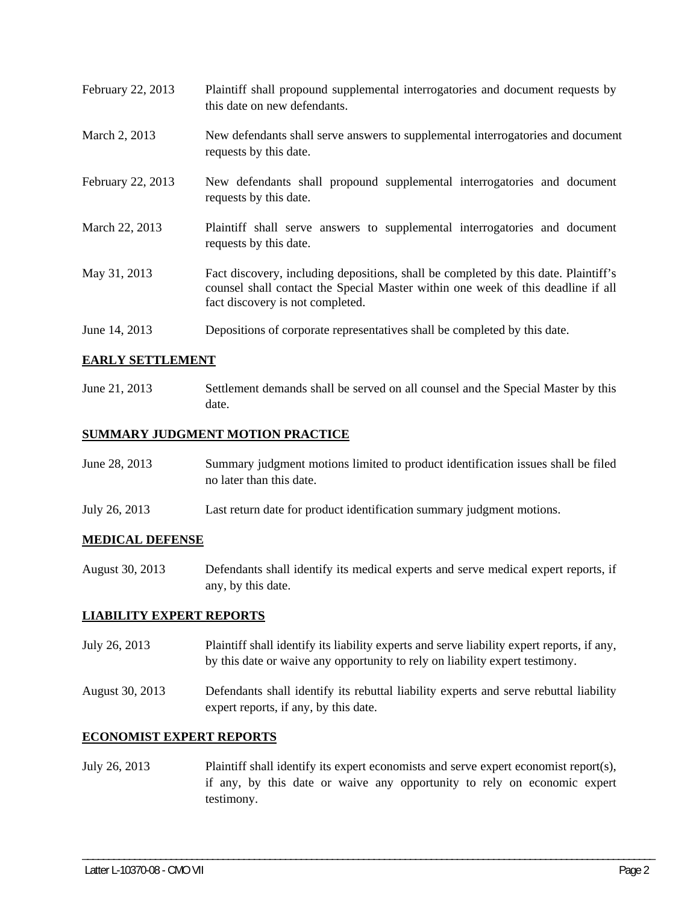| February 22, 2013 | Plaintiff shall propound supplemental interrogatories and document requests by<br>this date on new defendants.                                                                                              |
|-------------------|-------------------------------------------------------------------------------------------------------------------------------------------------------------------------------------------------------------|
| March 2, 2013     | New defendants shall serve answers to supplemental interrogatories and document<br>requests by this date.                                                                                                   |
| February 22, 2013 | New defendants shall propound supplemental interrogatories and document<br>requests by this date.                                                                                                           |
| March 22, 2013    | Plaintiff shall serve answers to supplemental interrogatories and document<br>requests by this date.                                                                                                        |
| May 31, 2013      | Fact discovery, including depositions, shall be completed by this date. Plaintiff's<br>counsel shall contact the Special Master within one week of this deadline if all<br>fact discovery is not completed. |
| June 14, 2013     | Depositions of corporate representatives shall be completed by this date.                                                                                                                                   |

### **EARLY SETTLEMENT**

June 21, 2013 Settlement demands shall be served on all counsel and the Special Master by this date.

### **SUMMARY JUDGMENT MOTION PRACTICE**

| June 28, 2013 | Summary judgment motions limited to product identification issues shall be filed |
|---------------|----------------------------------------------------------------------------------|
|               | no later than this date.                                                         |
|               |                                                                                  |

July 26, 2013 Last return date for product identification summary judgment motions.

#### **MEDICAL DEFENSE**

August 30, 2013 Defendants shall identify its medical experts and serve medical expert reports, if any, by this date.

#### **LIABILITY EXPERT REPORTS**

- July 26, 2013 Plaintiff shall identify its liability experts and serve liability expert reports, if any, by this date or waive any opportunity to rely on liability expert testimony.
- August 30, 2013 Defendants shall identify its rebuttal liability experts and serve rebuttal liability expert reports, if any, by this date.

### **ECONOMIST EXPERT REPORTS**

July 26, 2013 Plaintiff shall identify its expert economists and serve expert economist report(s), if any, by this date or waive any opportunity to rely on economic expert testimony.

\_\_\_\_\_\_\_\_\_\_\_\_\_\_\_\_\_\_\_\_\_\_\_\_\_\_\_\_\_\_\_\_\_\_\_\_\_\_\_\_\_\_\_\_\_\_\_\_\_\_\_\_\_\_\_\_\_\_\_\_\_\_\_\_\_\_\_\_\_\_\_\_\_\_\_\_\_\_\_\_\_\_\_\_\_\_\_\_\_\_\_\_\_\_\_\_\_\_\_\_\_\_\_\_\_\_\_\_\_\_